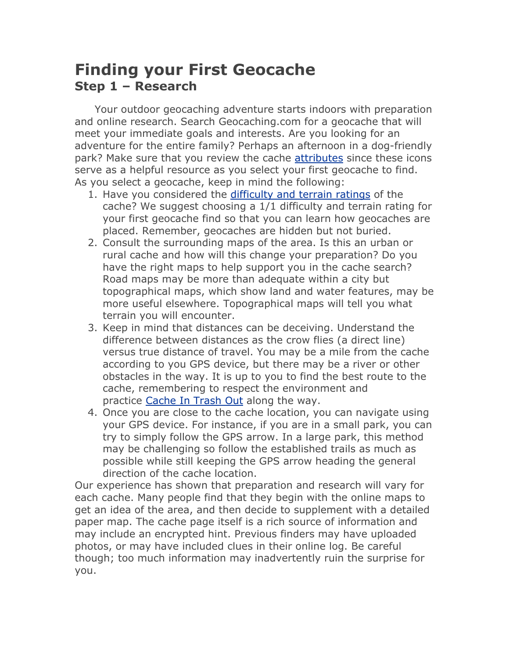# **Finding your First Geocache Step 1 – Research**

Your outdoor geocaching adventure starts indoors with preparation and online research. Search Geocaching.com for a geocache that will meet your immediate goals and interests. Are you looking for an adventure for the entire family? Perhaps an afternoon in a dog-friendly park? Make sure that you review the cache attributes since these icons serve as a helpful resource as you select your first geocache to find. As you select a geocache, keep in mind the following:

- 1. Have you considered the difficulty and terrain ratings of the cache? We suggest choosing a 1/1 difficulty and terrain rating for your first geocache find so that you can learn how geocaches are placed. Remember, geocaches are hidden but not buried.
- 2. Consult the surrounding maps of the area. Is this an urban or rural cache and how will this change your preparation? Do you have the right maps to help support you in the cache search? Road maps may be more than adequate within a city but topographical maps, which show land and water features, may be more useful elsewhere. Topographical maps will tell you what terrain you will encounter.
- 3. Keep in mind that distances can be deceiving. Understand the difference between distances as the crow flies (a direct line) versus true distance of travel. You may be a mile from the cache according to you GPS device, but there may be a river or other obstacles in the way. It is up to you to find the best route to the cache, remembering to respect the environment and practice Cache In Trash Out along the way.
- 4. Once you are close to the cache location, you can navigate using your GPS device. For instance, if you are in a small park, you can try to simply follow the GPS arrow. In a large park, this method may be challenging so follow the established trails as much as possible while still keeping the GPS arrow heading the general direction of the cache location.

Our experience has shown that preparation and research will vary for each cache. Many people find that they begin with the online maps to get an idea of the area, and then decide to supplement with a detailed paper map. The cache page itself is a rich source of information and may include an encrypted hint. Previous finders may have uploaded photos, or may have included clues in their online log. Be careful though; too much information may inadvertently ruin the surprise for you.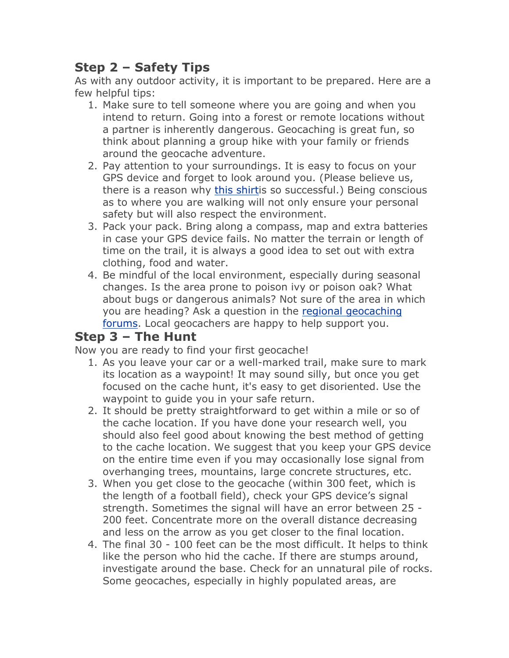# **Step 2 – Safety Tips**

As with any outdoor activity, it is important to be prepared. Here are a few helpful tips:

- 1. Make sure to tell someone where you are going and when you intend to return. Going into a forest or remote locations without a partner is inherently dangerous. Geocaching is great fun, so think about planning a group hike with your family or friends around the geocache adventure.
- 2. Pay attention to your surroundings. It is easy to focus on your GPS device and forget to look around you. (Please believe us, there is a reason why this shirtis so successful.) Being conscious as to where you are walking will not only ensure your personal safety but will also respect the environment.
- 3. Pack your pack. Bring along a compass, map and extra batteries in case your GPS device fails. No matter the terrain or length of time on the trail, it is always a good idea to set out with extra clothing, food and water.
- 4. Be mindful of the local environment, especially during seasonal changes. Is the area prone to poison ivy or poison oak? What about bugs or dangerous animals? Not sure of the area in which you are heading? Ask a question in the regional geocaching forums. Local geocachers are happy to help support you.

# **Step 3 – The Hunt**

Now you are ready to find your first geocache!

- 1. As you leave your car or a well-marked trail, make sure to mark its location as a waypoint! It may sound silly, but once you get focused on the cache hunt, it's easy to get disoriented. Use the waypoint to guide you in your safe return.
- 2. It should be pretty straightforward to get within a mile or so of the cache location. If you have done your research well, you should also feel good about knowing the best method of getting to the cache location. We suggest that you keep your GPS device on the entire time even if you may occasionally lose signal from overhanging trees, mountains, large concrete structures, etc.
- 3. When you get close to the geocache (within 300 feet, which is the length of a football field), check your GPS device's signal strength. Sometimes the signal will have an error between 25 - 200 feet. Concentrate more on the overall distance decreasing and less on the arrow as you get closer to the final location.
- 4. The final 30 100 feet can be the most difficult. It helps to think like the person who hid the cache. If there are stumps around, investigate around the base. Check for an unnatural pile of rocks. Some geocaches, especially in highly populated areas, are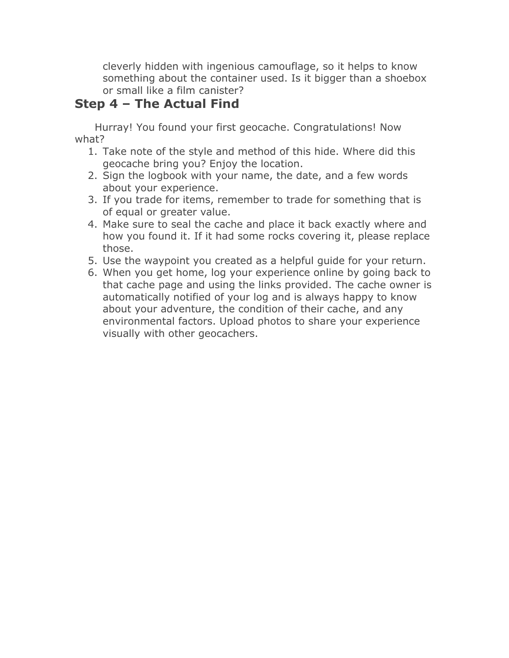cleverly hidden with ingenious camouflage, so it helps to know something about the container used. Is it bigger than a shoebox or small like a film canister?

# **Step 4 – The Actual Find**

Hurray! You found your first geocache. Congratulations! Now what?

- 1. Take note of the style and method of this hide. Where did this geocache bring you? Enjoy the location.
- 2. Sign the logbook with your name, the date, and a few words about your experience.
- 3. If you trade for items, remember to trade for something that is of equal or greater value.
- 4. Make sure to seal the cache and place it back exactly where and how you found it. If it had some rocks covering it, please replace those.
- 5. Use the waypoint you created as a helpful guide for your return.
- 6. When you get home, log your experience online by going back to that cache page and using the links provided. The cache owner is automatically notified of your log and is always happy to know about your adventure, the condition of their cache, and any environmental factors. Upload photos to share your experience visually with other geocachers.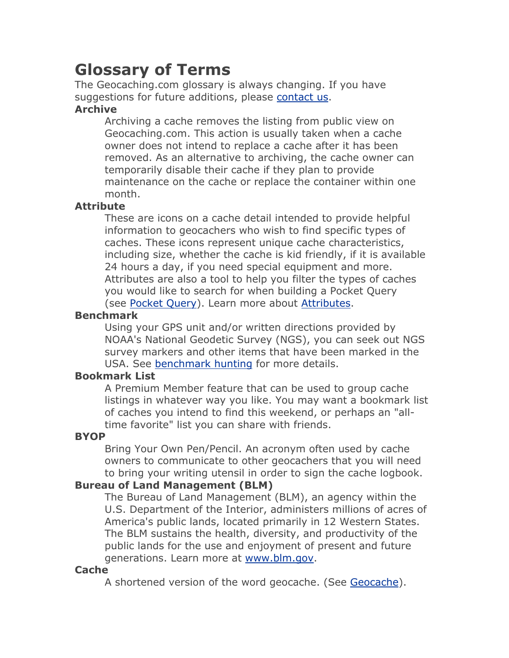# **Glossary of Terms**

The Geocaching.com glossary is always changing. If you have suggestions for future additions, please contact us.

# **Archive**

Archiving a cache removes the listing from public view on Geocaching.com. This action is usually taken when a cache owner does not intend to replace a cache after it has been removed. As an alternative to archiving, the cache owner can temporarily disable their cache if they plan to provide maintenance on the cache or replace the container within one month.

# **Attribute**

These are icons on a cache detail intended to provide helpful information to geocachers who wish to find specific types of caches. These icons represent unique cache characteristics, including size, whether the cache is kid friendly, if it is available 24 hours a day, if you need special equipment and more. Attributes are also a tool to help you filter the types of caches you would like to search for when building a Pocket Query (see Pocket Query). Learn more about Attributes.

#### **Benchmark**

Using your GPS unit and/or written directions provided by NOAA's National Geodetic Survey (NGS), you can seek out NGS survey markers and other items that have been marked in the USA. See benchmark hunting for more details.

# **Bookmark List**

A Premium Member feature that can be used to group cache listings in whatever way you like. You may want a bookmark list of caches you intend to find this weekend, or perhaps an "alltime favorite" list you can share with friends.

# **BYOP**

Bring Your Own Pen/Pencil. An acronym often used by cache owners to communicate to other geocachers that you will need to bring your writing utensil in order to sign the cache logbook.

# **Bureau of Land Management (BLM)**

The Bureau of Land Management (BLM), an agency within the U.S. Department of the Interior, administers millions of acres of America's public lands, located primarily in 12 Western States. The BLM sustains the health, diversity, and productivity of the public lands for the use and enjoyment of present and future generations. Learn more at www.blm.gov.

#### **Cache**

A shortened version of the word geocache. (See Geocache).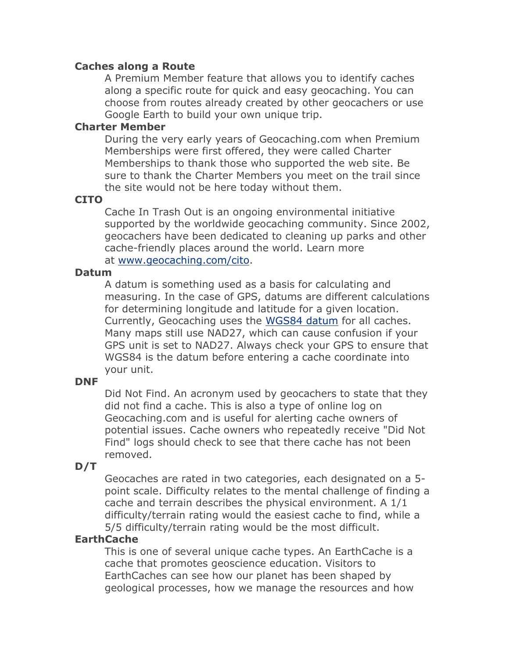#### **Caches along a Route**

A Premium Member feature that allows you to identify caches along a specific route for quick and easy geocaching. You can choose from routes already created by other geocachers or use Google Earth to build your own unique trip.

#### **Charter Member**

During the very early years of Geocaching.com when Premium Memberships were first offered, they were called Charter Memberships to thank those who supported the web site. Be sure to thank the Charter Members you meet on the trail since the site would not be here today without them.

#### **CITO**

Cache In Trash Out is an ongoing environmental initiative supported by the worldwide geocaching community. Since 2002, geocachers have been dedicated to cleaning up parks and other cache-friendly places around the world. Learn more at www.geocaching.com/cito.

#### **Datum**

A datum is something used as a basis for calculating and measuring. In the case of GPS, datums are different calculations for determining longitude and latitude for a given location. Currently, Geocaching uses the WGS84 datum for all caches. Many maps still use NAD27, which can cause confusion if your GPS unit is set to NAD27. Always check your GPS to ensure that WGS84 is the datum before entering a cache coordinate into your unit.

# **DNF**

Did Not Find. An acronym used by geocachers to state that they did not find a cache. This is also a type of online log on Geocaching.com and is useful for alerting cache owners of potential issues. Cache owners who repeatedly receive "Did Not Find" logs should check to see that there cache has not been removed.

# **D/T**

Geocaches are rated in two categories, each designated on a 5 point scale. Difficulty relates to the mental challenge of finding a cache and terrain describes the physical environment. A 1/1 difficulty/terrain rating would the easiest cache to find, while a 5/5 difficulty/terrain rating would be the most difficult.

#### **EarthCache**

This is one of several unique cache types. An EarthCache is a cache that promotes geoscience education. Visitors to EarthCaches can see how our planet has been shaped by geological processes, how we manage the resources and how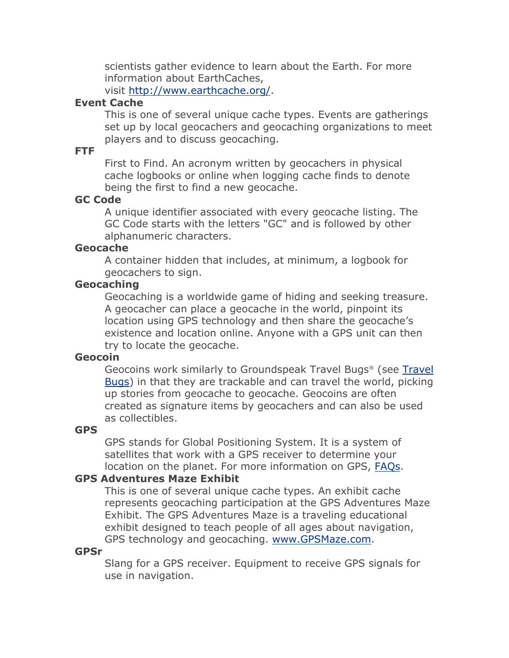scientists gather evidence to learn about the Earth. For more information about EarthCaches,

visit http://www.earthcache.org/.

# **Event Cache**

This is one of several unique cache types. Events are gatherings set up by local geocachers and geocaching organizations to meet players and to discuss geocaching.

# **FTF**

First to Find. An acronym written by geocachers in physical cache logbooks or online when logging cache finds to denote being the first to find a new geocache.

# **GC Code**

A unique identifier associated with every geocache listing. The GC Code starts with the letters "GC" and is followed by other alphanumeric characters.

#### **Geocache**

A container hidden that includes, at minimum, a logbook for geocachers to sign.

# **Geocaching**

Geocaching is a worldwide game of hiding and seeking treasure. A geocacher can place a geocache in the world, pinpoint its location using GPS technology and then share the geocache's existence and location online. Anyone with a GPS unit can then try to locate the geocache.

#### **Geocoin**

Geocoins work similarly to Groundspeak Travel Bugs® (see Travel Bugs) in that they are trackable and can travel the world, picking up stories from geocache to geocache. Geocoins are often created as signature items by geocachers and can also be used as collectibles.

#### **GPS**

GPS stands for Global Positioning System. It is a system of satellites that work with a GPS receiver to determine your location on the planet. For more information on GPS, **FAQs**.

#### **GPS Adventures Maze Exhibit**

This is one of several unique cache types. An exhibit cache represents geocaching participation at the GPS Adventures Maze Exhibit. The GPS Adventures Maze is a traveling educational exhibit designed to teach people of all ages about navigation, GPS technology and geocaching. www.GPSMaze.com.

#### **GPSr**

Slang for a GPS receiver. Equipment to receive GPS signals for use in navigation.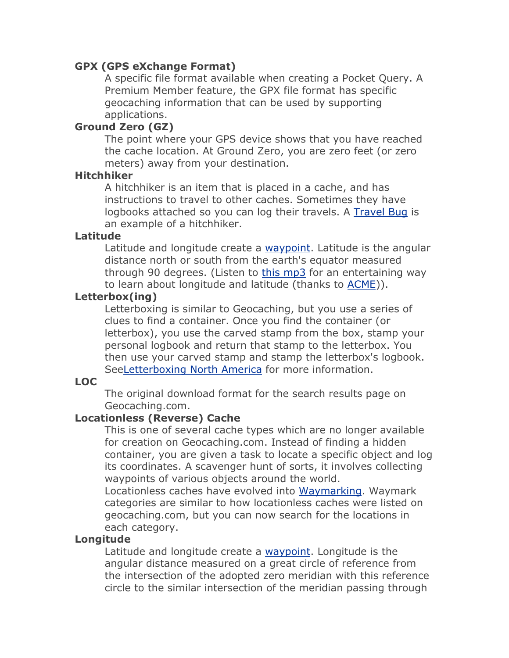# **GPX (GPS eXchange Format)**

A specific file format available when creating a Pocket Query. A Premium Member feature, the GPX file format has specific geocaching information that can be used by supporting applications.

# **Ground Zero (GZ)**

The point where your GPS device shows that you have reached the cache location. At Ground Zero, you are zero feet (or zero meters) away from your destination.

# **Hitchhiker**

A hitchhiker is an item that is placed in a cache, and has instructions to travel to other caches. Sometimes they have logbooks attached so you can log their travels. A Travel Bug is an example of a hitchhiker.

# **Latitude**

Latitude and longitude create a waypoint. Latitude is the angular distance north or south from the earth's equator measured through 90 degrees. (Listen to this mp3 for an entertaining way to learn about longitude and latitude (thanks to ACME)).

# **Letterbox(ing)**

Letterboxing is similar to Geocaching, but you use a series of clues to find a container. Once you find the container (or letterbox), you use the carved stamp from the box, stamp your personal logbook and return that stamp to the letterbox. You then use your carved stamp and stamp the letterbox's logbook. SeeLetterboxing North America for more information.

# **LOC**

The original download format for the search results page on Geocaching.com.

# **Locationless (Reverse) Cache**

This is one of several cache types which are no longer available for creation on Geocaching.com. Instead of finding a hidden container, you are given a task to locate a specific object and log its coordinates. A scavenger hunt of sorts, it involves collecting waypoints of various objects around the world.

Locationless caches have evolved into Waymarking. Waymark categories are similar to how locationless caches were listed on geocaching.com, but you can now search for the locations in each category.

# **Longitude**

Latitude and longitude create a waypoint. Longitude is the angular distance measured on a great circle of reference from the intersection of the adopted zero meridian with this reference circle to the similar intersection of the meridian passing through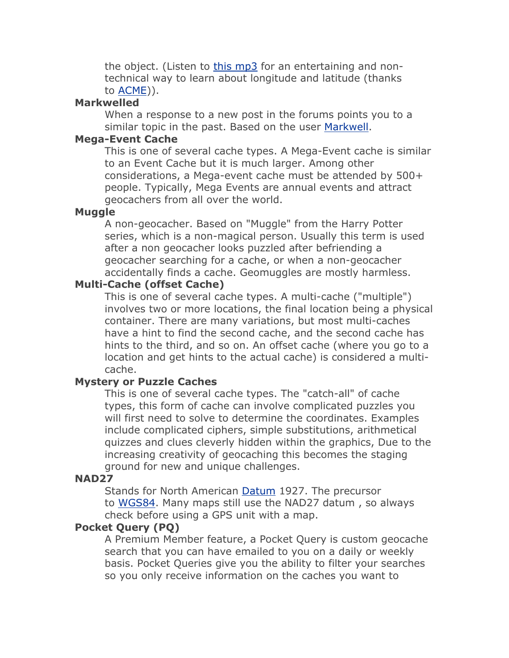the object. (Listen to this mp3 for an entertaining and nontechnical way to learn about longitude and latitude (thanks to ACME)).

#### **Markwelled**

When a response to a new post in the forums points you to a similar topic in the past. Based on the user Markwell.

#### **Mega-Event Cache**

This is one of several cache types. A Mega-Event cache is similar to an Event Cache but it is much larger. Among other considerations, a Mega-event cache must be attended by 500+ people. Typically, Mega Events are annual events and attract geocachers from all over the world.

#### **Muggle**

A non-geocacher. Based on "Muggle" from the Harry Potter series, which is a non-magical person. Usually this term is used after a non geocacher looks puzzled after befriending a geocacher searching for a cache, or when a non-geocacher accidentally finds a cache. Geomuggles are mostly harmless.

#### **Multi-Cache (offset Cache)**

This is one of several cache types. A multi-cache ("multiple") involves two or more locations, the final location being a physical container. There are many variations, but most multi-caches have a hint to find the second cache, and the second cache has hints to the third, and so on. An offset cache (where you go to a location and get hints to the actual cache) is considered a multicache.

#### **Mystery or Puzzle Caches**

This is one of several cache types. The "catch-all" of cache types, this form of cache can involve complicated puzzles you will first need to solve to determine the coordinates. Examples include complicated ciphers, simple substitutions, arithmetical quizzes and clues cleverly hidden within the graphics, Due to the increasing creativity of geocaching this becomes the staging ground for new and unique challenges.

#### **NAD27**

Stands for North American Datum 1927. The precursor to WGS84. Many maps still use the NAD27 datum , so always check before using a GPS unit with a map.

#### **Pocket Query (PQ)**

A Premium Member feature, a Pocket Query is custom geocache search that you can have emailed to you on a daily or weekly basis. Pocket Queries give you the ability to filter your searches so you only receive information on the caches you want to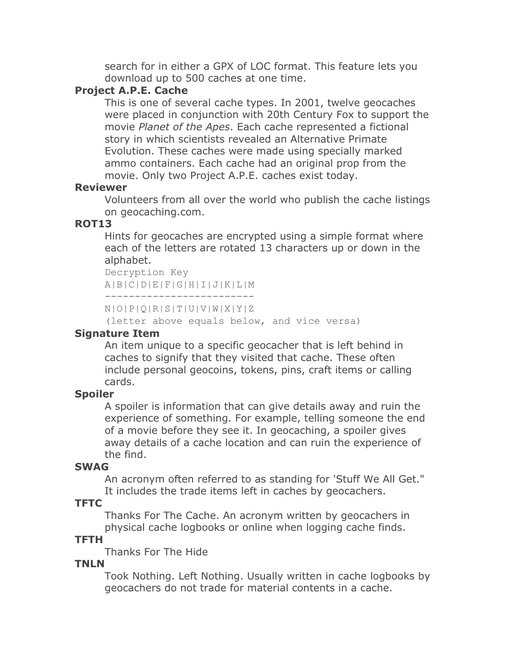search for in either a GPX of LOC format. This feature lets you download up to 500 caches at one time.

# **Project A.P.E. Cache**

This is one of several cache types. In 2001, twelve geocaches were placed in conjunction with 20th Century Fox to support the movie *Planet of the Apes*. Each cache represented a fictional story in which scientists revealed an Alternative Primate Evolution. These caches were made using specially marked ammo containers. Each cache had an original prop from the movie. Only two Project A.P.E. caches exist today.

# **Reviewer**

Volunteers from all over the world who publish the cache listings on geocaching.com.

# **ROT13**

Hints for geocaches are encrypted using a simple format where each of the letters are rotated 13 characters up or down in the alphabet.

```
Decryption Key
A|B|C|D|E|F|G|H|I|J|K|L|M
   -------------------------
```

```
N|O|P|Q|R|S|T|U|V|W|X|Y|Z
```
(letter above equals below, and vice versa)

# **Signature Item**

An item unique to a specific geocacher that is left behind in caches to signify that they visited that cache. These often include personal geocoins, tokens, pins, craft items or calling cards.

# **Spoiler**

A spoiler is information that can give details away and ruin the experience of something. For example, telling someone the end of a movie before they see it. In geocaching, a spoiler gives away details of a cache location and can ruin the experience of the find.

# **SWAG**

An acronym often referred to as standing for 'Stuff We All Get." It includes the trade items left in caches by geocachers.

# **TFTC**

Thanks For The Cache. An acronym written by geocachers in physical cache logbooks or online when logging cache finds.

# **TFTH**

Thanks For The Hide

# **TNLN**

Took Nothing. Left Nothing. Usually written in cache logbooks by geocachers do not trade for material contents in a cache.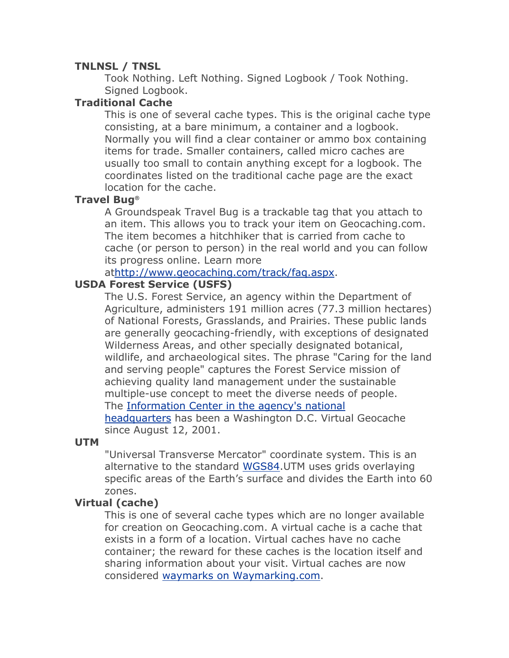# **TNLNSL / TNSL**

Took Nothing. Left Nothing. Signed Logbook / Took Nothing. Signed Logbook.

#### **Traditional Cache**

This is one of several cache types. This is the original cache type consisting, at a bare minimum, a container and a logbook. Normally you will find a clear container or ammo box containing items for trade. Smaller containers, called micro caches are usually too small to contain anything except for a logbook. The coordinates listed on the traditional cache page are the exact location for the cache.

#### **Travel Bug®**

A Groundspeak Travel Bug is a trackable tag that you attach to an item. This allows you to track your item on Geocaching.com. The item becomes a hitchhiker that is carried from cache to cache (or person to person) in the real world and you can follow its progress online. Learn more

athttp://www.geocaching.com/track/faq.aspx.

# **USDA Forest Service (USFS)**

The U.S. Forest Service, an agency within the Department of Agriculture, administers 191 million acres (77.3 million hectares) of National Forests, Grasslands, and Prairies. These public lands are generally geocaching-friendly, with exceptions of designated Wilderness Areas, and other specially designated botanical, wildlife, and archaeological sites. The phrase "Caring for the land and serving people" captures the Forest Service mission of achieving quality land management under the sustainable multiple-use concept to meet the diverse needs of people. The Information Center in the agency's national headquarters has been a Washington D.C. Virtual Geocache since August 12, 2001.

# **UTM**

"Universal Transverse Mercator" coordinate system. This is an alternative to the standard WGS84.UTM uses grids overlaying specific areas of the Earth's surface and divides the Earth into 60 zones.

# **Virtual (cache)**

This is one of several cache types which are no longer available for creation on Geocaching.com. A virtual cache is a cache that exists in a form of a location. Virtual caches have no cache container; the reward for these caches is the location itself and sharing information about your visit. Virtual caches are now considered waymarks on Waymarking.com.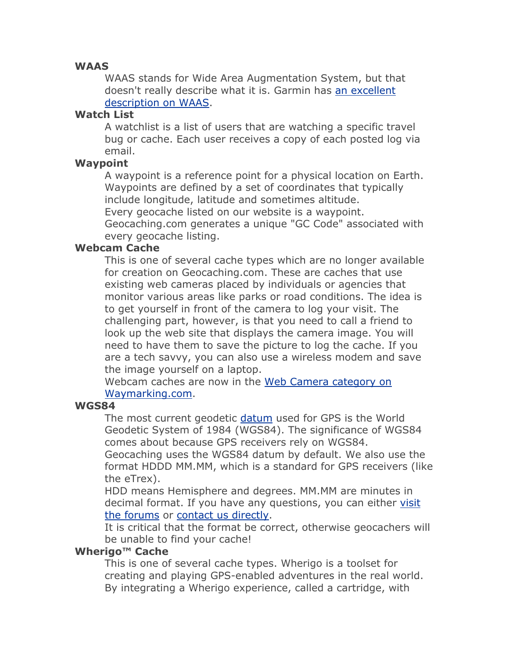#### **WAAS**

WAAS stands for Wide Area Augmentation System, but that doesn't really describe what it is. Garmin has an excellent description on WAAS.

#### **Watch List**

A watchlist is a list of users that are watching a specific travel bug or cache. Each user receives a copy of each posted log via email.

#### **Waypoint**

A waypoint is a reference point for a physical location on Earth. Waypoints are defined by a set of coordinates that typically include longitude, latitude and sometimes altitude.

Every geocache listed on our website is a waypoint.

Geocaching.com generates a unique "GC Code" associated with every geocache listing.

#### **Webcam Cache**

This is one of several cache types which are no longer available for creation on Geocaching.com. These are caches that use existing web cameras placed by individuals or agencies that monitor various areas like parks or road conditions. The idea is to get yourself in front of the camera to log your visit. The challenging part, however, is that you need to call a friend to look up the web site that displays the camera image. You will need to have them to save the picture to log the cache. If you are a tech savvy, you can also use a wireless modem and save the image yourself on a laptop.

Webcam caches are now in the Web Camera category on Waymarking.com.

#### **WGS84**

The most current geodetic datum used for GPS is the World Geodetic System of 1984 (WGS84). The significance of WGS84 comes about because GPS receivers rely on WGS84.

Geocaching uses the WGS84 datum by default. We also use the format HDDD MM.MM, which is a standard for GPS receivers (like the eTrex).

HDD means Hemisphere and degrees. MM.MM are minutes in decimal format. If you have any questions, you can either visit the forums or contact us directly.

It is critical that the format be correct, otherwise geocachers will be unable to find your cache!

# **Wherigo™ Cache**

This is one of several cache types. Wherigo is a toolset for creating and playing GPS-enabled adventures in the real world. By integrating a Wherigo experience, called a cartridge, with